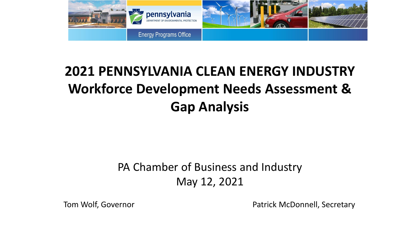

### **2021 PENNSYLVANIA CLEAN ENERGY INDUSTRY Workforce Development Needs Assessment & Gap Analysis**

#### PA Chamber of Business and Industry May 12, 2021

Tom Wolf, Governor **Patrick McDonnell**, Secretary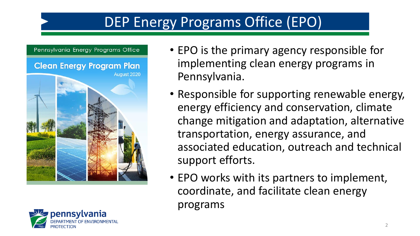## DEP Energy Programs Office (EPO)

#### Pennsylvania Energy Programs Office





- EPO is the primary agency responsible for implementing clean energy programs in Pennsylvania.
- Responsible for supporting renewable energy, energy efficiency and conservation, climate change mitigation and adaptation, alternative transportation, energy assurance, and associated education, outreach and technical support efforts.
- EPO works with its partners to implement, coordinate, and facilitate clean energy programs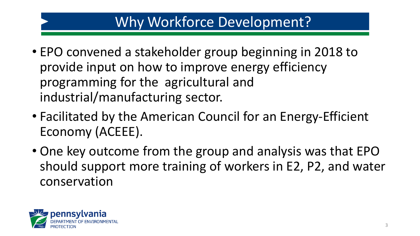### Why Workforce Development?

- EPO convened a stakeholder group beginning in 2018 to provide input on how to improve energy efficiency programming for the agricultural and industrial/manufacturing sector.
- Facilitated by the American Council for an Energy-Efficient Economy (ACEEE).
- One key outcome from the group and analysis was that EPO should support more training of workers in E2, P2, and water conservation

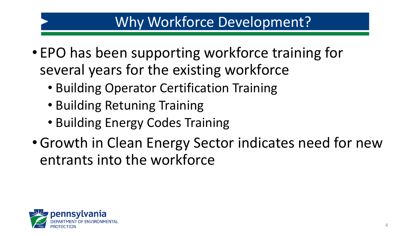### Why Workforce Development?

- EPO has been supporting workforce training for several years for the existing workforce
	- Building Operator Certification Training
	- Building Retuning Training
	- Building Energy Codes Training
- •Growth in Clean Energy Sector indicates need for new entrants into the workforce

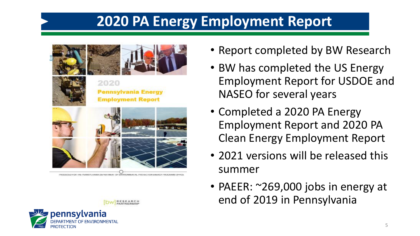### **2020 PA Energy Employment Report**





2020 **Pennsylvania Energy Employment Report** 



• Report completed by BW Research

- BW has completed the US Energy Employment Report for USDOE and NASEO for several years
- Completed a 2020 PA Energy Employment Report and 2020 PA Clean Energy Employment Report
- 2021 versions will be released this summer
- PAEER: ~269,000 jobs in energy at end of 2019 in Pennsylvania

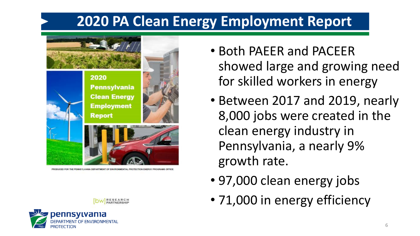### **2020 PA Clean Energy Employment Report**



PRODUCED FOR THE PENNSYLVANIA DEPARTMENT OF ENVIRONMENTAL PROTECTION ENERGY PROGRAMS OFFIC

pennsylvania

- Both PAEER and PACEER showed large and growing need for skilled workers in energy
- Between 2017 and 2019, nearly 8,000 jobs were created in the clean energy industry in Pennsylvania, a nearly 9% growth rate.
- 97,000 clean energy jobs
- 71,000 in energy efficiency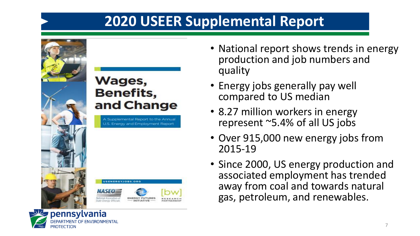### **2020 USEER Supplemental Report**



pennsylvania

PROTECTIO

OF ENVIRONMENTAL

#### Wages, **Benefits,** and Change

A Supplemental Report to the Annual U.S. Energy and Employment Report



- National report shows trends in energy production and job numbers and quality
	- Energy jobs generally pay well compared to US median
	- 8.27 million workers in energy represent ~5.4% of all US jobs
	- Over 915,000 new energy jobs from 2015-19
	- Since 2000, US energy production and associated employment has trended away from coal and towards natural gas, petroleum, and renewables.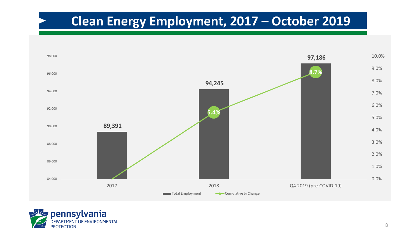### **Clean Energy Employment, 2017 – October 2019**



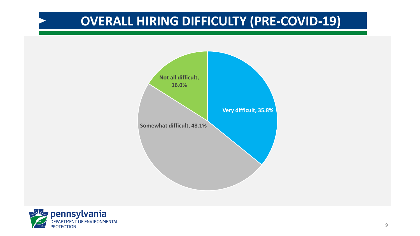### **OVERALL HIRING DIFFICULTY (PRE-COVID-19)**



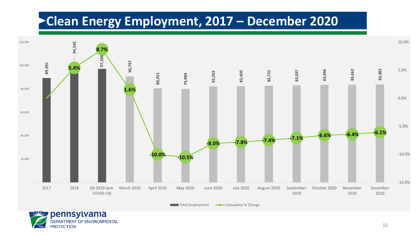#### **Clean Energy Employment, 2017 – December 2020**

**PROTECTION** 



10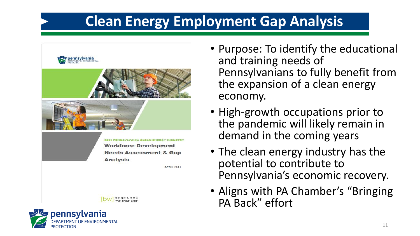### **Clean Energy Employment Gap Analysis**



pennsylvania PROTECTIO

- Purpose: To identify the educational and training needs of Pennsylvanians to fully benefit from the expansion of a clean energy economy.
- High-growth occupations prior to the pandemic will likely remain in demand in the coming years
- The clean energy industry has the potential to contribute to Pennsylvania's economic recovery.
- Aligns with PA Chamber's "Bringing" PA Back" effort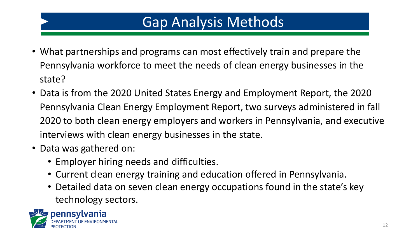### Gap Analysis Methods

- What partnerships and programs can most effectively train and prepare the Pennsylvania workforce to meet the needs of clean energy businesses in the state?
- Data is from the 2020 United States Energy and Employment Report, the 2020 Pennsylvania Clean Energy Employment Report, two surveys administered in fall 2020 to both clean energy employers and workers in Pennsylvania, and executive interviews with clean energy businesses in the state.
- Data was gathered on:
	- Employer hiring needs and difficulties.
	- Current clean energy training and education offered in Pennsylvania.
	- Detailed data on seven clean energy occupations found in the state's key technology sectors.

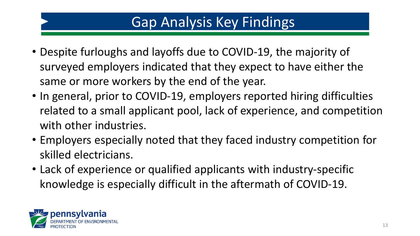### Gap Analysis Key Findings

- Despite furloughs and layoffs due to COVID-19, the majority of surveyed employers indicated that they expect to have either the same or more workers by the end of the year.
- In general, prior to COVID-19, employers reported hiring difficulties related to a small applicant pool, lack of experience, and competition with other industries.
- Employers especially noted that they faced industry competition for skilled electricians.
- Lack of experience or qualified applicants with industry-specific knowledge is especially difficult in the aftermath of COVID-19.

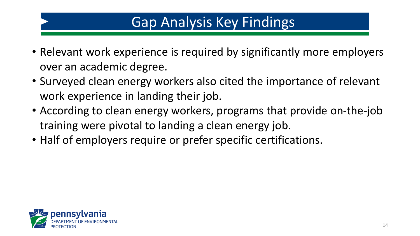### Gap Analysis Key Findings

- Relevant work experience is required by significantly more employers over an academic degree.
- Surveyed clean energy workers also cited the importance of relevant work experience in landing their job.
- According to clean energy workers, programs that provide on-the-job training were pivotal to landing a clean energy job.
- Half of employers require or prefer specific certifications.

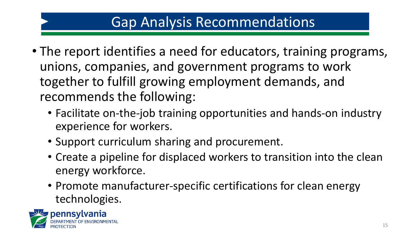### Gap Analysis Recommendations

- The report identifies a need for educators, training programs, unions, companies, and government programs to work together to fulfill growing employment demands, and recommends the following:
	- Facilitate on-the-job training opportunities and hands-on industry experience for workers.
	- Support curriculum sharing and procurement.
	- Create a pipeline for displaced workers to transition into the clean energy workforce.
	- Promote manufacturer-specific certifications for clean energy technologies.

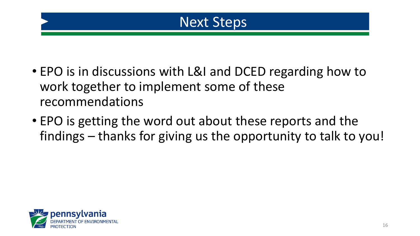

- EPO is in discussions with L&I and DCED regarding how to work together to implement some of these recommendations
- EPO is getting the word out about these reports and the findings – thanks for giving us the opportunity to talk to you!